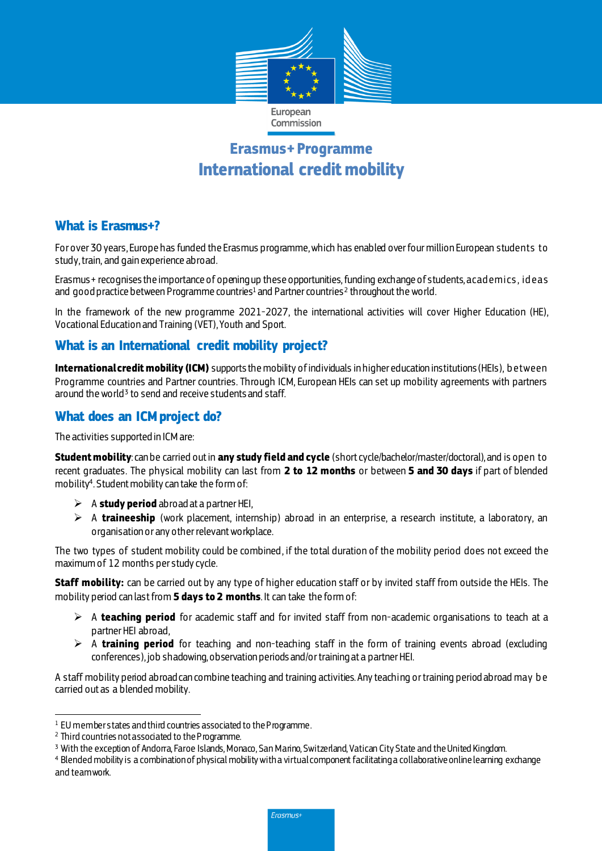

# **Erasmus+ Programme International credit mobility**

# **What is Erasmus+?**

For over 30 years, Europe has funded the Erasmus programme, which has enabled over four million European students to study, train, and gain experience abroad.

Erasmus+ recognises the importance of opening up these opportunities,funding exchange of students, acad emics , id eas and good practice between Programme countries $^1$  and Partner countries $^2$  throughout the world.

In the framework of the new programme 2021-2027, the international activities will cover Higher Education (HE), Vocational Education and Training (VET), Youth and Sport.

# **What is an International credit mobility project?**

**International credit mobility (ICM)** supports the mobility of individuals in higher education institutions (HEIs), b etween Programme countries and Partner countries. Through ICM, European HEIs can set up mobility agreements with partners around the world<sup>3</sup> to send and receive students and staff.

# **What does an ICM project do?**

The activities supported in ICM are:

**Student mobility**: can be carried out in **any study field and cycle** (short cycle/bachelor/master/doctoral), and is open to recent graduates. The physical mobility can last from **2 to 12 months** or between **5 and 30 days** if part of blended mobility<sup>4</sup> . Student mobility can take the form of:

- $\triangleright$  A **study period** abroad at a partner HEI,
- A **traineeship** (work placement, internship) abroad in an enterprise, a research institute, a laboratory, an organisation or any other relevant workplace.

The two types of student mobility could be combined, if the total duration of the mobility period does not exceed the maximum of 12 months per study cycle.

**Staff mobility:** can be carried out by any type of higher education staff or by invited staff from outside the HEIs. The mobility period can last from **5 days to 2 months**. It can take the form of:

- A **teaching period** for academic staff and for invited staff from non-academic organisations to teach at a partner HEI abroad,
- $\triangleright$  A **training period** for teaching and non-teaching staff in the form of training events abroad (excluding conferences), job shadowing, observation periods and/or training at a partner HEI.

A staff mobility period abroad can combine teaching and training activities. Any teaching or training period abroad may b e carried out as a blended mobility.

 $\overline{a}$ <sup>1</sup> EU member states and third countries associated to the Programme.

<sup>2</sup> Third countries not associated to the Programme.

<sup>3</sup> With the exception of Andorra, Faroe Islands, Monaco, San Marino, Switzerland, Vatican City State and the United Kingdom.

<sup>4</sup> Blended mobility is a combination of physical mobility with a virtual component facilitating a collaborative online learning exchange and teamwork.